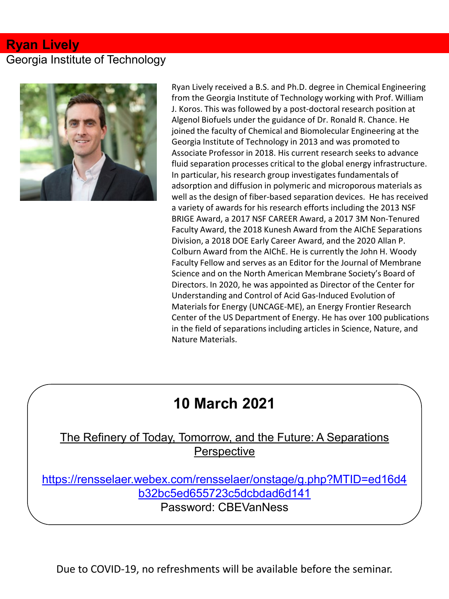#### **Ryan Lively**

### Georgia Institute of Technology



Ryan Lively received a B.S. and Ph.D. degree in Chemical Engineering from the Georgia Institute of Technology working with Prof. William J. Koros. This was followed by a post-doctoral research position at Algenol Biofuels under the guidance of Dr. Ronald R. Chance. He joined the faculty of Chemical and Biomolecular Engineering at the Georgia Institute of Technology in 2013 and was promoted to Associate Professor in 2018. His current research seeks to advance fluid separation processes critical to the global energy infrastructure. In particular, his research group investigates fundamentals of adsorption and diffusion in polymeric and microporous materials as well as the design of fiber-based separation devices. He has received a variety of awards for his research efforts including the 2013 NSF BRIGE Award, a 2017 NSF CAREER Award, a 2017 3M Non-Tenured Faculty Award, the 2018 Kunesh Award from the AIChE Separations Division, a 2018 DOE Early Career Award, and the 2020 Allan P. Colburn Award from the AIChE. He is currently the John H. Woody Faculty Fellow and serves as an Editor for the Journal of Membrane Science and on the North American Membrane Society's Board of Directors. In 2020, he was appointed as Director of the Center for Understanding and Control of Acid Gas-Induced Evolution of Materials for Energy (UNCAGE-ME), an Energy Frontier Research Center of the US Department of Energy. He has over 100 publications in the field of separations including articles in Science, Nature, and Nature Materials.

# **10 March 2021**

#### The Refinery of Today, Tomorrow, and the Future: A Separations **Perspective**

[https://rensselaer.webex.com/rensselaer/onstage/g.php?MTID=ed16d4](https://rensselaer.webex.com/rensselaer/onstage/g.php?MTID=ed16d4b32bc5ed655723c5dcbdad6d141) b32bc5ed655723c5dcbdad6d141 Password: CBEVanNess

Due to COVID-19, no refreshments will be available before the seminar.